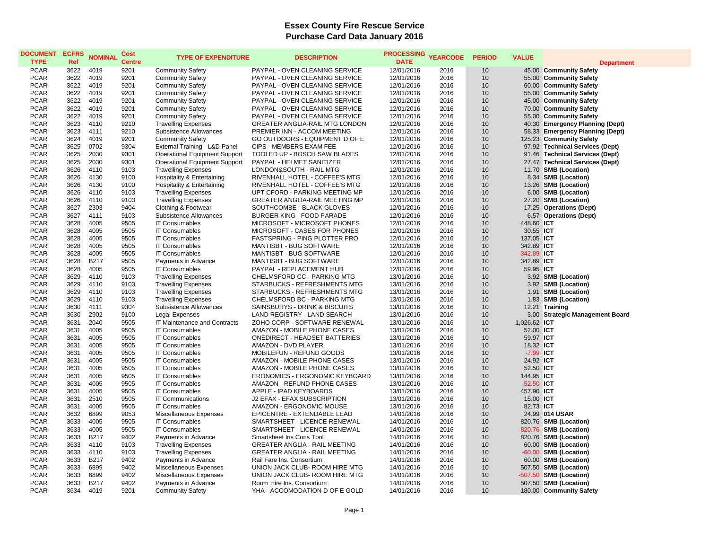## **Essex County Fire Rescue Service Purchase Card Data January 2016**

| <b>DOCUMENT</b><br><b>TYPE</b> | <b>ECFRS</b><br>Ref | <b>NOMINAL</b> | <b>Cost</b><br><b>Centre</b> | <b>TYPE OF EXPENDITURE</b>           | <b>DESCRIPTION</b>                    | <b>PROCESSING</b><br><b>DATE</b> | <b>YEARCODE</b> | <b>PERIOD</b> | <b>VALUE</b>  |                                 |
|--------------------------------|---------------------|----------------|------------------------------|--------------------------------------|---------------------------------------|----------------------------------|-----------------|---------------|---------------|---------------------------------|
|                                |                     |                |                              |                                      |                                       |                                  |                 |               |               | <b>Department</b>               |
| <b>PCAR</b>                    | 3622                | 4019           | 9201                         | <b>Community Safety</b>              | PAYPAL - OVEN CLEANING SERVICE        | 12/01/2016                       | 2016            | 10            |               | 45.00 Community Safety          |
| <b>PCAR</b><br><b>PCAR</b>     | 3622<br>3622        | 4019<br>4019   | 9201<br>9201                 | <b>Community Safety</b>              | PAYPAL - OVEN CLEANING SERVICE        | 12/01/2016                       | 2016<br>2016    | 10<br>10      |               | 55.00 Community Safety          |
| <b>PCAR</b>                    |                     |                |                              | <b>Community Safety</b>              | PAYPAL - OVEN CLEANING SERVICE        | 12/01/2016                       |                 |               |               | 60.00 Community Safety          |
|                                | 3622                | 4019           | 9201                         | <b>Community Safety</b>              | PAYPAL - OVEN CLEANING SERVICE        | 12/01/2016                       | 2016            | 10            |               | 55.00 Community Safety          |
| <b>PCAR</b>                    | 3622                | 4019           | 9201                         | <b>Community Safety</b>              | PAYPAL - OVEN CLEANING SERVICE        | 12/01/2016                       | 2016            | 10            |               | 45.00 Community Safety          |
| <b>PCAR</b>                    | 3622                | 4019           | 9201                         | <b>Community Safety</b>              | PAYPAL - OVEN CLEANING SERVICE        | 12/01/2016                       | 2016            | 10            |               | 70.00 Community Safety          |
| <b>PCAR</b>                    | 3622                | 4019           | 9201                         | <b>Community Safety</b>              | PAYPAL - OVEN CLEANING SERVICE        | 12/01/2016                       | 2016            | 10            |               | 55.00 Community Safety          |
| <b>PCAR</b>                    | 3623                | 4110           | 9210                         | <b>Travelling Expenses</b>           | <b>GREATER ANGLIA-RAIL MTG LONDON</b> | 12/01/2016                       | 2016            | 10            |               | 40.30 Emergency Planning (Dept) |
| <b>PCAR</b>                    | 3623                | 4111           | 9210                         | Subsistence Allowances               | PREMIER INN - ACCOM MEETING           | 12/01/2016                       | 2016            | 10            |               | 58.33 Emergency Planning (Dept) |
| <b>PCAR</b>                    | 3624                | 4019           | 9201                         | <b>Community Safety</b>              | GO OUTDOORS - EQUIPMENT D OF E        | 12/01/2016                       | 2016            | 10            |               | 125.23 Community Safety         |
| <b>PCAR</b>                    | 3625                | 0702           | 9304                         | External Training - L&D Panel        | CIPS - MEMBERS EXAM FEE               | 12/01/2016                       | 2016            | 10<br>10      |               | 97.92 Technical Services (Dept) |
| <b>PCAR</b>                    | 3625                | 2030           | 9301                         | <b>Operational Equipment Support</b> | TOOLED UP - BOSCH SAW BLADES          | 12/01/2016                       | 2016            |               |               | 91.46 Technical Services (Dept) |
| <b>PCAR</b>                    | 3625                | 2030           | 9301                         | <b>Operational Equipment Support</b> | PAYPAL - HELMET SANITIZER             | 12/01/2016                       | 2016            | 10            |               | 27.47 Technical Services (Dept) |
| <b>PCAR</b>                    | 3626                | 4110           | 9103                         | <b>Travelling Expenses</b>           | LONDON&SOUTH - RAIL MTG               | 12/01/2016                       | 2016            | 10            |               | 11.70 SMB (Location)            |
| <b>PCAR</b>                    | 3626                | 4130           | 9100                         | Hospitality & Entertaining           | RIVENHALL HOTEL - COFFEE'S MTG        | 12/01/2016                       | 2016            | 10            |               | 8.34 SMB (Location)             |
| <b>PCAR</b>                    | 3626                | 4130           | 9100                         | Hospitality & Entertaining           | RIVENHALL HOTEL - COFFEE'S MTG        | 12/01/2016                       | 2016            | 10            |               | 13.26 SMB (Location)            |
| <b>PCAR</b>                    | 3626                | 4110           | 9103                         | <b>Travelling Expenses</b>           | UPT CFORD - PARKING MEETING MP        | 12/01/2016                       | 2016            | 10            |               | 6.00 SMB (Location)             |
| <b>PCAR</b>                    | 3626                | 4110           | 9103                         | <b>Travelling Expenses</b>           | <b>GREATER ANGLIA-RAIL MEETING MP</b> | 12/01/2016                       | 2016            | 10            |               | 27.20 SMB (Location)            |
| <b>PCAR</b>                    | 3627                | 2303           | 9404                         | Clothing & Footwear                  | SOUTHCOMBE - BLACK GLOVES             | 12/01/2016                       | 2016            | 10            |               | 17.25 Operations (Dept)         |
| <b>PCAR</b>                    | 3627                | 4111           | 9103                         | <b>Subsistence Allowances</b>        | BURGER KING - FOOD PARADE             | 12/01/2016                       | 2016            | 10            |               | 6.57 Operations (Dept)          |
| <b>PCAR</b>                    | 3628                | 4005           | 9505                         | <b>IT Consumables</b>                | MICROSOFT - MICROSOFT PHONES          | 12/01/2016                       | 2016            | 10            | 448.60 ICT    |                                 |
| <b>PCAR</b>                    | 3628                | 4005           | 9505                         | <b>IT Consumables</b>                | MICROSOFT - CASES FOR PHONES          | 12/01/2016                       | 2016            | 10            | 30.55 ICT     |                                 |
| <b>PCAR</b>                    | 3628                | 4005           | 9505                         | <b>IT Consumables</b>                | FASTSPRING - PING PLOTTER PRO         | 12/01/2016                       | 2016            | 10            | 137.05 ICT    |                                 |
| <b>PCAR</b>                    | 3628                | 4005           | 9505                         | <b>IT Consumables</b>                | MANTISBT - BUG SOFTWARE               | 12/01/2016                       | 2016            | 10            | 342.89 ICT    |                                 |
| <b>PCAR</b>                    | 3628                | 4005           | 9505                         | <b>IT Consumables</b>                | MANTISBT - BUG SOFTWARE               | 12/01/2016                       | 2016            | 10            | $-342.89$ ICT |                                 |
| <b>PCAR</b>                    | 3628                | B217           | 9505                         | Payments in Advance                  | MANTISBT - BUG SOFTWARE               | 12/01/2016                       | 2016            | 10            | 342.89 ICT    |                                 |
| <b>PCAR</b>                    | 3628                | 4005           | 9505                         | <b>IT Consumables</b>                | PAYPAL - REPLACEMENT HUB              | 12/01/2016                       | 2016            | 10            | 59.95 ICT     |                                 |
| <b>PCAR</b>                    | 3629                | 4110           | 9103                         | <b>Travelling Expenses</b>           | CHELMSFORD CC - PARKING MTG           | 13/01/2016                       | 2016            | 10            |               | 3.92 SMB (Location)             |
| <b>PCAR</b>                    | 3629                | 4110           | 9103                         | <b>Travelling Expenses</b>           | STARBUCKS - REFRESHMENTS MTG          | 13/01/2016                       | 2016            | 10            |               | 3.92 SMB (Location)             |
| <b>PCAR</b>                    | 3629                | 4110           | 9103                         | <b>Travelling Expenses</b>           | STARBUCKS - REFRESHMENTS MTG          | 13/01/2016                       | 2016            | 10            |               | 1.91 SMB (Location)             |
| <b>PCAR</b>                    | 3629                | 4110           | 9103                         | <b>Travelling Expenses</b>           | CHELMSFORD BC - PARKING MTG           | 13/01/2016                       | 2016            | 10            |               | 1.83 SMB (Location)             |
| <b>PCAR</b>                    | 3630                | 4111           | 9304                         | Subsistence Allowances               | SAINSBURYS - DRINK & BISCUITS         | 13/01/2016                       | 2016            | 10            |               | 12.21 Training                  |
| <b>PCAR</b>                    | 3630                | 2902           | 9100                         | Legal Expenses                       | LAND REGISTRY - LAND SEARCH           | 13/01/2016                       | 2016            | 10            |               | 3.00 Strategic Management Board |
| <b>PCAR</b>                    | 3631                | 2040           | 9505                         | IT Maintenance and Contracts         | ZOHO CORP - SOFTWARE RENEWAL          | 13/01/2016                       | 2016            | 10            | 1,026.62 ICT  |                                 |
| <b>PCAR</b>                    | 3631                | 4005           | 9505                         | <b>IT Consumables</b>                | AMAZON - MOBILE PHONE CASES           | 13/01/2016                       | 2016            | 10            | 52.00 ICT     |                                 |
| <b>PCAR</b>                    | 3631                | 4005           | 9505                         | <b>IT Consumables</b>                | <b>ONEDIRECT - HEADSET BATTERIES</b>  | 13/01/2016                       | 2016            | 10            | 59.97 ICT     |                                 |
| <b>PCAR</b>                    | 3631                | 4005           | 9505                         | <b>IT Consumables</b>                | AMAZON - DVD PLAYER                   | 13/01/2016                       | 2016            | 10            | 18.32 ICT     |                                 |
| <b>PCAR</b>                    | 3631                | 4005           | 9505                         | <b>IT Consumables</b>                | MOBILEFUN - REFUND GOODS              | 13/01/2016                       | 2016            | 10            | -7.99 ICT     |                                 |
| <b>PCAR</b>                    | 3631                | 4005           | 9505                         | <b>IT Consumables</b>                | AMAZON - MOBILE PHONE CASES           | 13/01/2016                       | 2016            | 10            | 24.92 ICT     |                                 |
| <b>PCAR</b>                    | 3631                | 4005           | 9505                         | <b>IT Consumables</b>                | AMAZON - MOBILE PHONE CASES           | 13/01/2016                       | 2016            | 10            | 52.50 ICT     |                                 |
| <b>PCAR</b>                    | 3631                | 4005           | 9505                         | <b>IT Consumables</b>                | <b>ERONOMICS - ERGONOMIC KEYBOARD</b> | 13/01/2016                       | 2016            | 10            | 144.95 ICT    |                                 |
| <b>PCAR</b>                    | 3631                | 4005           | 9505                         | <b>IT Consumables</b>                | AMAZON - REFUND PHONE CASES           | 13/01/2016                       | 2016            | 10            | $-52.50$ ICT  |                                 |
| <b>PCAR</b>                    | 3631                | 4005           | 9505                         | <b>IT Consumables</b>                | APPLE - IPAD KEYBOARDS                | 13/01/2016                       | 2016            | 10            | 457.90 ICT    |                                 |
| <b>PCAR</b>                    | 3631                | 2510           | 9505                         | <b>IT Communications</b>             | J2 EFAX - EFAX SUBSCRIPTION           | 13/01/2016                       | 2016            | 10            | 15.00 ICT     |                                 |
| <b>PCAR</b>                    | 3631                | 4005           | 9505                         | <b>IT Consumables</b>                | AMAZON - ERGONOMIC MOUSE              | 13/01/2016                       | 2016            | 10            | 82.73 ICT     |                                 |
| <b>PCAR</b>                    | 3632                | 6899           | 9053                         | Miscellaneous Expenses               | EPICENTRE - EXTENDABLE LEAD           | 14/01/2016                       | 2016            | 10            |               | 24.99 014 USAR                  |
| <b>PCAR</b>                    | 3633                | 4005           | 9505                         | <b>IT Consumables</b>                | SMARTSHEET - LICENCE RENEWAL          | 14/01/2016                       | 2016            | 10            |               | 820.76 SMB (Location)           |
| <b>PCAR</b>                    | 3633                | 4005           | 9505                         | <b>IT Consumables</b>                | SMARTSHEET - LICENCE RENEWAL          | 14/01/2016                       | 2016            | 10            |               | -820.76 SMB (Location)          |
| <b>PCAR</b>                    | 3633                | B217           | 9402                         | Payments in Advance                  | Smartsheet Ins Cons Tool              | 14/01/2016                       | 2016            | 10            |               | 820.76 SMB (Location)           |
| <b>PCAR</b>                    | 3633                | 4110           | 9103                         | <b>Travelling Expenses</b>           | <b>GREATER ANGLIA - RAIL MEETING</b>  | 14/01/2016                       | 2016            | 10            |               | 60.00 SMB (Location)            |
| <b>PCAR</b>                    | 3633                | 4110           | 9103                         | <b>Travelling Expenses</b>           | GREATER ANGLIA - RAIL MEETING         | 14/01/2016                       | 2016            | 10            |               | -60.00 SMB (Location)           |
| <b>PCAR</b>                    | 3633                | <b>B217</b>    | 9402                         | Payments in Advance                  | Rail Fare Ins. Consortium             | 14/01/2016                       | 2016            | 10            |               | 60.00 SMB (Location)            |
| <b>PCAR</b>                    | 3633                | 6899           | 9402                         | Miscellaneous Expenses               | UNION JACK CLUB- ROOM HIRE MTG        | 14/01/2016                       | 2016            | 10            |               | 507.50 SMB (Location)           |
| <b>PCAR</b>                    | 3633                | 6899           | 9402                         | Miscellaneous Expenses               | UNION JACK CLUB- ROOM HIRE MTG        | 14/01/2016                       | 2016            | 10            |               | -507.50 SMB (Location)          |
| <b>PCAR</b>                    | 3633                | <b>B217</b>    | 9402                         | Payments in Advance                  | Room Hire Ins. Consortium             | 14/01/2016                       | 2016            | 10            |               | 507.50 SMB (Location)           |
| <b>PCAR</b>                    | 3634                | 4019           | 9201                         | <b>Community Safety</b>              | YHA - ACCOMODATION D OF E GOLD        | 14/01/2016                       | 2016            | 10            |               | 180.00 Community Safety         |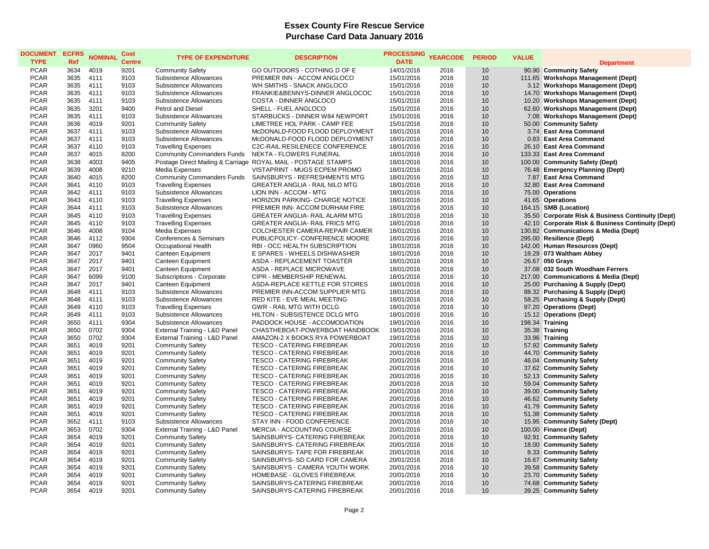## **Essex County Fire Rescue Service Purchase Card Data January 2016**

| <b>DOCUMENT</b><br><b>TYPE</b> | <b>ECFRS</b><br>Ref | <b>NOMINAL</b> | Cost<br><b>Centre</b> | <b>TYPE OF EXPENDITURE</b>                         | <b>DESCRIPTION</b>                                            | <b>PROCESSING</b><br><b>DATE</b> | <b>YEARCODE</b> | <b>PERIOD</b> | <b>VALUE</b> | <b>Department</b>                                 |
|--------------------------------|---------------------|----------------|-----------------------|----------------------------------------------------|---------------------------------------------------------------|----------------------------------|-----------------|---------------|--------------|---------------------------------------------------|
| <b>PCAR</b>                    | 3634                | 4019           | 9201                  | <b>Community Safety</b>                            | GO OUTDOORS - COTHING D OF E                                  | 14/01/2016                       | 2016            | 10            |              | 90.90 Community Safety                            |
| <b>PCAR</b>                    | 3635                | 4111           | 9103                  | Subsistence Allowances                             | PREMIER INN - ACCOM ANGLOCO                                   | 15/01/2016                       | 2016            | 10            |              | 111.65 Workshops Management (Dept)                |
| <b>PCAR</b>                    | 3635                | 4111           | 9103                  | Subsistence Allowances                             | WH SMITHS - SNACK ANGLOCO                                     | 15/01/2016                       | 2016            | 10            |              | 3.12 Workshops Management (Dept)                  |
| <b>PCAR</b>                    | 3635                | 4111           | 9103                  | Subsistence Allowances                             | FRANKIE&BENNYS-DINNER ANGLOCOC                                | 15/01/2016                       | 2016            | 10            |              | 14.70 Workshops Management (Dept)                 |
| <b>PCAR</b>                    | 3635                | 4111           | 9103                  | Subsistence Allowances                             | COSTA - DINNER ANGLOCO                                        | 15/01/2016                       | 2016            | 10            |              | 10.20 Workshops Management (Dept)                 |
| <b>PCAR</b>                    | 3635                | 3201           | 9400                  | Petrol and Diesel                                  | SHELL - FUEL ANGLOCO                                          | 15/01/2016                       | 2016            | 10            |              | 62.60 Workshops Management (Dept)                 |
| <b>PCAR</b>                    | 3635                | 4111           | 9103                  | Subsistence Allowances                             | STARBUCKS - DINNER W84 NEWPORT                                | 15/01/2016                       | 2016            | 10            |              | 7.08 Workshops Management (Dept)                  |
| <b>PCAR</b>                    | 3636                | 4019           | 9201                  | <b>Community Safety</b>                            | LIMETREE HOL PARK - CAMP FEE                                  | 15/01/2016                       | 2016            | 10            |              | 50.00 Community Safety                            |
| <b>PCAR</b>                    | 3637                | 4111           | 9103                  | Subsistence Allowances                             | McDONALD-FOOD FLOOD DEPLOYMENT                                | 18/01/2016                       | 2016            | 10            |              | 3.74 East Area Command                            |
| <b>PCAR</b>                    | 3637                | 4111           | 9103                  | Subsistence Allowances                             | McDONALD-FOOD FLOOD DEPLOYMENT                                | 18/01/2016                       | 2016            | 10            |              | 0.83 East Area Command                            |
| <b>PCAR</b>                    | 3637                | 4110           | 9103                  | <b>Travelling Expenses</b>                         | C2C-RAIL RESILENECE CONFERENCE                                | 18/01/2016                       | 2016            | 10            |              | 26.10 East Area Command                           |
| <b>PCAR</b>                    | 3637                | 4015           | 8200                  | Community Commanders Funds NEKTA - FLOWERS FUNERAL |                                                               | 18/01/2016                       | 2016            | 10            |              | 133.33 East Area Command                          |
| <b>PCAR</b>                    | 3638                | 4003           | 9405                  |                                                    | Postage Direct Mailing & Carriage ROYAL MAIL - POSTAGE STAMPS | 18/01/2016                       | 2016            | 10            |              | 100.00 Community Safety (Dept)                    |
| <b>PCAR</b>                    | 3639                | 4008           | 9210                  | Media Expenses                                     | VISTAPRINT - MUGS ECPEM PROMO                                 | 18/01/2016                       | 2016            | 10            |              | 76.48 Emergency Planning (Dept)                   |
| <b>PCAR</b>                    | 3640                | 4015           | 8200                  | <b>Community Commanders Funds</b>                  | SAINSBURYS - REFRESHMENTS MTG                                 | 18/01/2016                       | 2016            | 10            |              | 7.87 East Area Command                            |
| <b>PCAR</b>                    | 3641                | 4110           | 9103                  | <b>Travelling Expenses</b>                         | <b>GREATER ANGLIA - RAIL NILO MTG</b>                         | 18/01/2016                       | 2016            | 10            |              | 32.80 East Area Command                           |
| <b>PCAR</b>                    | 3642                | 4111           | 9103                  | Subsistence Allowances                             | LION INN - ACCOM - MTG                                        | 18/01/2016                       | 2016            | 10            |              | 75.00 Operations                                  |
| <b>PCAR</b>                    | 3643                | 4110           | 9103                  | <b>Travelling Expenses</b>                         | HORIZON PARKING- CHARGE NOTICE                                | 18/01/2016                       | 2016            | 10            |              | 41.65 Operations                                  |
| <b>PCAR</b>                    | 3644                | 4111           | 9103                  | Subsistence Allowances                             | PREMIER INN- ACCOM DURHAM FIRE                                | 18/01/2016                       | 2016            | 10            |              | 164.15 SMB (Location)                             |
| <b>PCAR</b>                    | 3645                | 4110           | 9103                  | <b>Travelling Expenses</b>                         | GREATER ANGLIA- RAIL ALARM MTG                                | 18/01/2016                       | 2016            | 10            |              | 35.50 Corporate Risk & Business Continuity (Dept) |
| <b>PCAR</b>                    | 3645                | 4110           | 9103                  | <b>Travelling Expenses</b>                         | GREATER ANGLIA- RAIL FRICS MTG                                | 18/01/2016                       | 2016            | 10            |              | 42.10 Corporate Risk & Business Continuity (Dept) |
| <b>PCAR</b>                    | 3646                | 4008           | 9104                  | Media Expenses                                     | COLCHESTER CAMERA-REPAIR CAMER                                | 18/01/2016                       | 2016            | 10            |              | 130.82 Communications & Media (Dept)              |
| <b>PCAR</b>                    | 3646                | 4112           | 9304                  | Conferences & Seminars                             | PUBLICPOLICY- CONFERENCE MOORE                                | 18/01/2016                       | 2016            | 10            |              | 295.00 Resilience (Dept)                          |
| <b>PCAR</b>                    | 3647                | 0960           | 9504                  | Occupational Health                                | RBI - OCC HEALTH SUBSCRIPTION                                 | 18/01/2016                       | 2016            | 10            |              | 142.00 Human Resources (Dept)                     |
| <b>PCAR</b>                    | 3647                | 2017           | 9401                  | Canteen Equipment                                  | E SPARES - WHEELS DISHWASHER                                  | 18/01/2016                       | 2016            | 10            |              | 18.29 073 Waltham Abbey                           |
| <b>PCAR</b>                    | 3647                | 2017           | 9401                  | Canteen Equipment                                  | ASDA - REPLACEMENT TOASTER                                    | 18/01/2016                       | 2016            | 10            |              | 26.67 050 Grays                                   |
| PCAR                           | 3647                | 2017           | 9401                  | Canteen Equipment                                  | <b>ASDA - REPLACE MICROWAVE</b>                               | 18/01/2016                       | 2016            | 10            |              | 37.08 032 South Woodham Ferrers                   |
| <b>PCAR</b>                    | 3647                | 6099           | 9100                  | Subscriptions - Corporate                          | CIPR - MEMBERSHIP RENEWAL                                     | 18/01/2016                       | 2016            | 10            |              | 217.00 Communications & Media (Dept)              |
| <b>PCAR</b>                    | 3647                | 2017           | 9401                  | Canteen Equipment                                  | ASDA-REPLACE KETTLE FOR STORES                                | 18/01/2016                       | 2016            | 10            |              | 25.00 Purchasing & Supply (Dept)                  |
| <b>PCAR</b>                    | 3648                | 4111           | 9103                  | Subsistence Allowances                             | PREMIER INN-ACCOM SUPPLIER MTG                                | 18/01/2016                       | 2016            | 10            |              | 88.32 Purchasing & Supply (Dept)                  |
| <b>PCAR</b>                    | 3648                | 4111           | 9103                  | Subsistence Allowances                             | RED KITE - EVE MEAL MEETING                                   | 18/01/2016                       | 2016            | 10            |              | 58.25 Purchasing & Supply (Dept)                  |
| <b>PCAR</b>                    | 3649                | 4110           | 9103                  | <b>Travelling Expenses</b>                         | <b>GWR - RAIL MTG WITH DCLG</b>                               | 18/01/2016                       | 2016            | 10            |              | 97.20 Operations (Dept)                           |
| <b>PCAR</b>                    | 3649                | 4111           | 9103                  | Subsistence Allowances                             | HILTON - SUBSISTENCE DCLG MTG                                 | 18/01/2016                       | 2016            | 10            |              | 15.12 Operations (Dept)                           |
| <b>PCAR</b>                    | 3650                | 4111           | 9304                  | Subsistence Allowances                             | PADDOCK HOUSE - ACCOMODATION                                  | 19/01/2016                       | 2016            | 10            |              | 198.34 Training                                   |
| <b>PCAR</b>                    | 3650                | 0702           | 9304                  | External Training - L&D Panel                      | CHASTHEBOAT-POWERBOAT HANDBOOK                                | 19/01/2016                       | 2016            | 10            |              | 35.38 Training                                    |
| <b>PCAR</b>                    | 3650                | 0702           | 9304                  | External Training - L&D Panel                      | AMAZON-2 X BOOKS RYA POWERBOAT                                | 19/01/2016                       | 2016            | 10            |              | 33.96 Training                                    |
| <b>PCAR</b>                    | 3651                | 4019           | 9201                  | <b>Community Safety</b>                            | TESCO - CATERING FIREBREAK                                    | 20/01/2016                       | 2016            | 10            |              | 57.92 Community Safety                            |
| <b>PCAR</b>                    | 3651                | 4019           | 9201                  | <b>Community Safety</b>                            | TESCO - CATERING FIREBREAK                                    | 20/01/2016                       | 2016            | 10            |              | 44.70 Community Safety                            |
| <b>PCAR</b>                    | 3651                | 4019           | 9201                  | <b>Community Safety</b>                            | <b>TESCO - CATERING FIREBREAK</b>                             | 20/01/2016                       | 2016            | 10            |              | 46.04 Community Safety                            |
| <b>PCAR</b>                    | 3651                | 4019           | 9201                  | <b>Community Safety</b>                            | <b>TESCO - CATERING FIREBREAK</b>                             | 20/01/2016                       | 2016            | 10            |              | 37.62 Community Safety                            |
| <b>PCAR</b>                    | 3651                | 4019           | 9201                  | <b>Community Safety</b>                            | <b>TESCO - CATERING FIREBREAK</b>                             | 20/01/2016                       | 2016            | 10            |              | 52.13 Community Safety                            |
| <b>PCAR</b>                    | 3651                | 4019           | 9201                  | <b>Community Safety</b>                            | <b>TESCO - CATERING FIREBREAK</b>                             | 20/01/2016                       | 2016            | 10            |              | 59.04 Community Safety                            |
| <b>PCAR</b>                    | 3651                | 4019           | 9201                  | <b>Community Safety</b>                            | <b>TESCO - CATERING FIREBREAK</b>                             | 20/01/2016                       | 2016            | 10            |              | 39.00 Community Safety                            |
| PCAR                           | 3651                | 4019           | 9201                  | <b>Community Safety</b>                            | <b>TESCO - CATERING FIREBREAK</b>                             | 20/01/2016                       | 2016            | 10            |              | 46.62 Community Safety                            |
| <b>PCAR</b>                    | 3651                | 4019           | 9201                  | <b>Community Safety</b>                            | TESCO - CATERING FIREBREAK                                    | 20/01/2016                       | 2016            | 10            |              | 41.79 Community Safety                            |
| <b>PCAR</b>                    | 3651                | 4019           | 9201                  | <b>Community Safety</b>                            | <b>TESCO - CATERING FIREBREAK</b>                             | 20/01/2016                       | 2016            | 10            |              | 51.38 Community Safety                            |
| <b>PCAR</b>                    | 3652                | 4111           | 9103                  | Subsistence Allowances                             | STAY INN - FOOD CONFERENCE                                    | 20/01/2016                       | 2016            | 10            |              | 15.95 Community Safety (Dept)                     |
| <b>PCAR</b>                    | 3653                | 0702           | 9304                  | External Training - L&D Panel                      | MERCIA - ACCOUNTING COURSE                                    | 20/01/2016                       | 2016            | 10            |              | 100.00 Finance (Dept)                             |
| <b>PCAR</b>                    | 3654                | 4019           | 9201                  | <b>Community Safety</b>                            | SAINSBURYS- CATERING FIREBREAK                                | 20/01/2016                       | 2016            | 10            |              | 92.91 Community Safety                            |
| <b>PCAR</b>                    | 3654                | 4019           | 9201                  | <b>Community Safety</b>                            | SAINSBURYS- CATERING FIREBREAK                                | 20/01/2016                       | 2016            | 10            |              | 18.00 Community Safety                            |
| PCAR                           | 3654                | 4019           | 9201                  | <b>Community Safety</b>                            | SAINSBURYS- TAPE FOR FIREBREAK                                | 20/01/2016                       | 2016            | 10            |              | 8.33 Community Safety                             |
| PCAR                           | 3654                | 4019           | 9201                  | <b>Community Safety</b>                            | SAINSBURYS- SD CARD FOR CAMERA                                | 20/01/2016                       | 2016            | 10            |              | 16.67 Community Safety                            |
| <b>PCAR</b>                    | 3654                | 4019           | 9201                  | <b>Community Safety</b>                            | SAINSBURYS - CAMERA YOUTH WORK                                | 20/01/2016                       | 2016            | 10            |              | 39.58 Community Safety                            |
| <b>PCAR</b>                    | 3654                | 4019           | 9201                  | <b>Community Safety</b>                            | HOMEBASE - GLOVES FIREBREAK                                   | 20/01/2016                       | 2016            | 10            |              | 23.70 Community Safety                            |
| <b>PCAR</b>                    | 3654                | 4019           | 9201                  | <b>Community Safety</b>                            | SAINSBURYS-CATERING FIREBREAK                                 | 20/01/2016                       | 2016            | 10            |              | 74.68 Community Safety                            |
| <b>PCAR</b>                    | 3654                | 4019           | 9201                  | <b>Community Safety</b>                            | SAINSBURYS-CATERING FIREBREAK                                 | 20/01/2016                       | 2016            | 10            |              | 39.25 Community Safety                            |